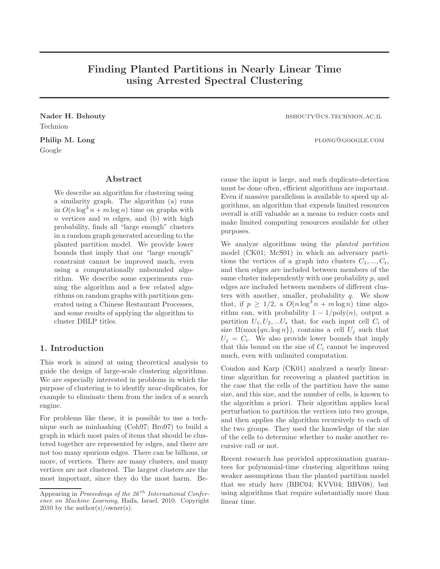# Finding Planted Partitions in Nearly Linear Time using Arrested Spectral Clustering

Technion

Google

# Abstract

We describe an algorithm for clustering using a similarity graph. The algorithm (a) runs in  $O(n \log^3 n + m \log n)$  time on graphs with  $n$  vertices and  $m$  edges, and (b) with high probability, finds all "large enough" clusters in a random graph generated according to the planted partition model. We provide lower bounds that imply that our "large enough" constraint cannot be improved much, even using a computationally unbounded algorithm. We describe some experiments running the algorithm and a few related algorithms on random graphs with partitions generated using a Chinese Restaurant Processes, and some results of applying the algorithm to cluster DBLP titles.

# 1. Introduction

This work is aimed at using theoretical analysis to guide the design of large-scale clustering algorithms. We are especially interested in problems in which the purpose of clustering is to identify near-duplicates, for example to eliminate them from the index of a search engine.

For problems like these, it is possible to use a technique such as minhashing (Coh97; Bro97) to build a graph in which most pairs of items that should be clustered together are represented by edges, and there are not too many spurious edges. There can be billions, or more, of vertices. There are many clusters, and many vertices are not clustered. The largest clusters are the most important, since they do the most harm. Be-

Nader H. Bshouty bshouty bshouty bshouty bshouty bshouty bshouty bshouty bshouty bshouty bshouty bshouty bshout

Philip M. Long plong@google.com

cause the input is large, and such duplicate-detection must be done often, efficient algorithms are important. Even if massive parallelism is available to speed up algorithms, an algorithm that expends limited resources overall is still valuable as a means to reduce costs and make limited computing resources available for other purposes.

We analyze algorithms using the planted partition model (CK01; McS01) in which an adversary partitions the vertices of a graph into clusters  $C_1, ..., C_t$ , and then edges are included between members of the same cluster independently with one probability p, and edges are included between members of different clusters with another, smaller, probability  $q$ . We show that, if  $p \geq 1/2$ , a  $O(n \log^3 n + m \log n)$  time algorithm can, with probability  $1 - 1/\text{poly}(n)$ , output a partition  $U_1, U_2, ...U_s$  that, for each input cell  $C_i$  of size  $\Omega(\max\{qn, \log n\})$ , contains a cell  $U_i$  such that  $U_j = C_i$ . We also provide lower bounds that imply that this bound on the size of  $C_i$  cannot be improved much, even with unlimited computation.

Condon and Karp (CK01) analyzed a nearly lineartime algorithm for recovering a planted partition in the case that the cells of the partition have the same size, and this size, and the number of cells, is known to the algorithm a priori. Their algorithm applies local perturbation to partition the vertices into two groups, and then applies the algorithm recursively to each of the two groups. They used the knowledge of the size of the cells to determine whether to make another recursive call or not.

Recent research has provided approximation guarantees for polynomial-time clustering algorithms using weaker assumptions than the planted partition model that we study here (BBC04; KVV04; BBV08), but using algorithms that require substantially more than linear time.

Appearing in Proceedings of the  $26^{th}$  International Conference on Machine Learning, Haifa, Israel, 2010. Copyright 2010 by the author(s)/owner(s).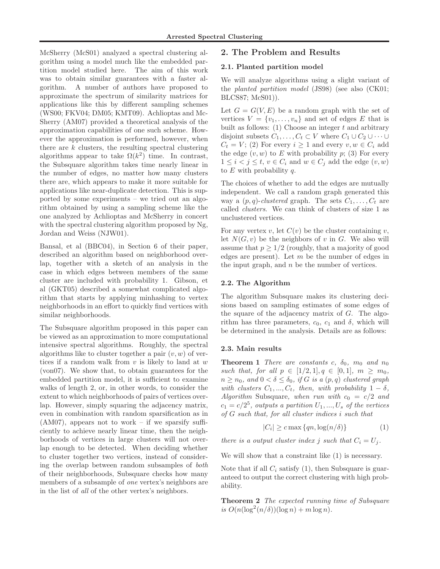McSherry (McS01) analyzed a spectral clustering algorithm using a model much like the embedded partition model studied here. The aim of this work was to obtain similar guarantees with a faster algorithm. A number of authors have proposed to approximate the spectrum of similarity matrices for applications like this by different sampling schemes (WS00; FKV04; DM05; KMT09). Achlioptas and Mc-Sherry (AM07) provided a theoretical analysis of the approximation capabilities of one such scheme. However the approximation is performed, however, when there are  $k$  clusters, the resulting spectral clustering algorithms appear to take  $\Omega(k^2)$  time. In contrast, the Subsquare algorithm takes time nearly linear in the number of edges, no matter how many clusters there are, which appears to make it more suitable for applications like near-duplicate detection. This is supported by some experiments – we tried out an algorithm obtained by using a sampling scheme like the one analyzed by Achlioptas and McSherry in concert with the spectral clustering algorithm proposed by Ng, Jordan and Weiss (NJW01).

Bansal, et al (BBC04), in Section 6 of their paper, described an algorithm based on neighborhood overlap, together with a sketch of an analysis in the case in which edges between members of the same cluster are included with probability 1. Gibson, et al (GKT05) described a somewhat complicated algorithm that starts by applying minhashing to vertex neighborhoods in an effort to quickly find vertices with similar neighborhoods.

The Subsquare algorithm proposed in this paper can be viewed as an approximation to more computational intensive spectral algorithms. Roughly, the spectral algorithms like to cluster together a pair  $(v, w)$  of vertices if a random walk from  $v$  is likely to land at  $w$ (von07). We show that, to obtain guarantees for the embedded partition model, it is sufficient to examine walks of length 2, or, in other words, to consider the extent to which neighborhoods of pairs of vertices overlap. However, simply squaring the adjacency matrix, even in combination with random sparsification as in  $(AM07)$ , appears not to work – if we sparsify sufficiently to achieve nearly linear time, then the neighborhoods of vertices in large clusters will not overlap enough to be detected. When deciding whether to cluster together two vertices, instead of considering the overlap between random subsamples of both of their neighborhoods, Subsquare checks how many members of a subsample of one vertex's neighbors are in the list of all of the other vertex's neighbors.

# 2. The Problem and Results

#### 2.1. Planted partition model

We will analyze algorithms using a slight variant of the planted partition model (JS98) (see also (CK01; BLCS87; McS01)).

Let  $G = G(V, E)$  be a random graph with the set of vertices  $V = \{v_1, \ldots, v_n\}$  and set of edges E that is built as follows:  $(1)$  Choose an integer t and arbitrary disjoint subsets  $C_1, \ldots, C_t \subset V$  where  $C_1 \cup C_2 \cup \cdots \cup$  $C_t = V$ ; (2) For every  $i \geq 1$  and every  $v, w \in C_i$  add the edge  $(v, w)$  to E with probability p; (3) For every  $1 \leq i < j \leq t, v \in C_i$  and  $w \in C_j$  add the edge  $(v, w)$ to  $E$  with probability  $q$ .

The choices of whether to add the edges are mutually independent. We call a random graph generated this way a  $(p, q)$ -clustered graph. The sets  $C_1, \ldots, C_t$  are called clusters. We can think of clusters of size 1 as unclustered vertices.

For any vertex v, let  $C(v)$  be the cluster containing v, let  $N(G, v)$  be the neighbors of v in G. We also will assume that  $p \geq 1/2$  (roughly, that a majority of good edges are present). Let  $m$  be the number of edges in the input graph, and  $n$  be the number of vertices.

### 2.2. The Algorithm

The algorithm Subsquare makes its clustering decisions based on sampling estimates of some edges of the square of the adjacency matrix of  $G$ . The algorithm has three parameters,  $c_0$ ,  $c_1$  and  $\delta$ , which will be determined in the analysis. Details are as follows:

#### 2.3. Main results

**Theorem 1** There are constants c,  $\delta_0$ ,  $m_0$  and  $n_0$ such that, for all  $p \in [1/2, 1], q \in [0, 1], m \geq m_0$ ,  $n \geq n_0$ , and  $0 < \delta \leq \delta_0$ , if G is a  $(p, q)$  clustered graph with clusters  $C_1, ..., C_t$ , then, with probability  $1 - \delta$ , Algorithm Subsquare, when run with  $c_0 = c/2$  and  $c_1 = c/2^5$ , outputs a partition  $U_1, ..., U_s$  of the vertices of G such that, for all cluster indices i such that

$$
|C_i| \ge c \max\{qn, \log(n/\delta)\}\tag{1}
$$

there is a output cluster index j such that  $C_i = U_j$ .

We will show that a constraint like (1) is necessary.

Note that if all  $C_i$  satisfy (1), then Subsquare is guaranteed to output the correct clustering with high probability.

Theorem 2 The expected running time of Subsquare is  $O(n(\log^2(n/\delta))(\log n) + m \log n)$ .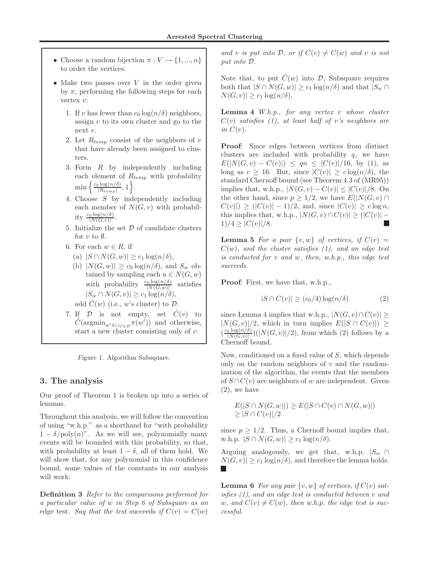- Choose a random bijection  $\pi: V \to \{1, ..., n\}$ to order the vertices.
- Make two passes over  $V$  in the order given by  $\pi$ , performing the following steps for each vertex v:
	- 1. If v has fewer than  $c_0 \log(n/\delta)$  neighbors, assign v to its own cluster and go to the next v.
	- 2. Let  $R_{temp}$  consist of the neighbors of v that have already been assigned to clusters.
	- 3. Form R by independently including each element of  $R_{temp}$  with probability  $\min\left\{\frac{c_0\log(n/\delta)}{|R_{\epsilon}|}\right\}$  $\frac{\log(n/\delta)}{|R_{temp}|}, 1\bigg\}.$
	- 4. Choose S by independently including each member of  $N(G, v)$  with probability  $\frac{c_0 \log(n/\delta)}{|N(G,v)|}$ .
	- 5. Initialize the set  $D$  of candidate clusters for  $v$  to  $\emptyset$ .
	- 6. For each  $w \in R$ , if
		- (a)  $|S \cap N(G, w)| \geq c_1 \log(n/\delta),$
		- (b)  $|N(G, w)| \geq c_0 \log(n/\delta)$ , and  $S_w$  obtained by sampling each  $u \in N(G, w)$ with probability  $\frac{c_0 \log(n/\delta)}{|N(G,w)|}$ satisfies  $|S_w \cap N(G, v)| \geq c_1 \log(n/\delta),$ add  $\hat{C}(w)$  (i.e., w's cluster) to  $\mathcal{D}$ .
	- 7. If  $\mathcal{D}$  is not empty, set  $\hat{C}(v)$  to  $\hat{C}(\operatorname{argmin}_{w' \in \bigcup_{C \in \mathcal{D}}}\pi(w'))$  and otherwise, start a new cluster consisting only of v.

Figure 1. Algorithm Subsquare.

## 3. The analysis

Our proof of Theorem 1 is broken up into a series of lemmas.

Throughout this analysis, we will follow the convention of using "w.h.p." as a shorthand for "with probability  $1 - \delta / \text{poly}(n)$ ". As we will see, polynomially many events will be bounded with this probability, so that, with probability at least  $1 - \delta$ , all of them hold. We will show that, for any polynomial in this confidence bound, some values of the constants in our analysis will work.

Definition 3 Refer to the comparisons performed for a particular value of w in Step 6 of Subsquare as an edge test. Say that the test succeeds if  $C(v) = C(w)$ 

and v is put into D, or if  $C(v) \neq C(w)$  and v is not put into D.

Note that, to put  $\hat{C}(w)$  into  $\mathcal{D}$ , Subsquare requires both that  $|S \cap N(G, w)| \geq c_1 \log(n/\delta)$  and that  $|S_w \cap N(G, w)|$  $N(G, v)| \geq c_1 \log(n/\delta).$ 

**Lemma 4** W.h.p., for any vertex v whose cluster  $C(v)$  satisfies (1), at least half of v's neighbors are in  $C(v)$ .

Proof: Since edges between vertices from distinct clusters are included with probability  $q$ , we have  $E(|N(G, v) - C(v)|) \leq qn \leq |C(v)|/16$ , by (1), as long as  $c \ge 16$ . But, since  $|C(v)| \ge c \log(n/\delta)$ , the standard Chernoff bound (see Theorem 4.3 of (MR95)) implies that, w.h.p.,  $|N(G, v) - C(v)| \leq |C(v)|/8$ . On the other hand, since  $p \geq 1/2$ , we have  $E(|N(G, v) \cap$  $C(v)$ ) >  $(|C(v)| - 1)/2$ , and, since  $|C(v)| > c \log n$ , this implies that, w.h.p.,  $|N(G, v) \cap C(v)| \geq (|C(v)| 1)/4 \geq |C(v)|/8.$ 

**Lemma 5** For a pair  $\{v, w\}$  of vertices, if  $C(v)$  =  $C(w)$ , and the cluster satisfies (1), and an edge test is conducted for v and w, then, w.h.p., this edge test succeeds.

Proof: First, we have that, w.h.p.,

$$
|S \cap C(v)| \ge (c_0/4) \log(n/\delta)
$$
 (2)

since Lemma 4 implies that w.h.p.,  $|N(G, v) \cap C(v)| \ge$  $|N(G, v)|/2$ , which in turn implies  $E(|S \cap C(v)|) \ge$  $\left(\frac{c_0 \log(n/\delta)}{|N(G,v)|}\right)$  $\frac{\log(n/\delta)}{|N(G,v)|}(|N(G,v)|/2)$ , from which (2) follows by a Chernoff bound.

Now, conditioned on a fixed value of S, which depends only on the random neighbors of  $v$  and the randomization of the algorithm, the events that the members of  $S \cap C(v)$  are neighbors of w are independent. Given (2), we have

$$
E(|S \cap N(G, w)|) \ge E(|S \cap C(v) \cap N(G, w)|)
$$
  
\n
$$
\ge |S \cap C(v)|/2
$$

since  $p > 1/2$ . Thus, a Chernoff bound implies that, w.h.p.  $|S \cap N(G, w)| \geq c_1 \log(n/\delta)$ .

Arguing analogously, we get that, w.h.p.  $|S_w \cap$  $N(G, v)| \geq c_1 \log(n/\delta)$ , and therefore the lemma holds. **The State** 

**Lemma 6** For any pair  $\{v, w\}$  of vertices, if  $C(v)$  satisfies (1), and an edge test is conducted between v and w, and  $C(v) \neq C(w)$ , then w.h.p. the edge test is successful.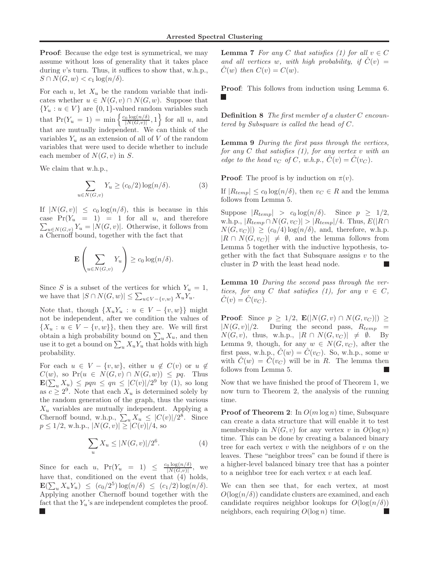Proof: Because the edge test is symmetrical, we may assume without loss of generality that it takes place during v's turn. Thus, it suffices to show that, w.h.p.,  $S \cap N(G, w) < c_1 \log(n/\delta).$ 

For each u, let  $X_u$  be the random variable that indicates whether  $u \in N(G, v) \cap N(G, w)$ . Suppose that  ${Y_u : u \in V}$  are  ${0,1}$ -valued random variables such that  $Pr(Y_u = 1) = min \left\{ \frac{c_0 \log(n/\delta)}{|N(G,v)|} \right\}$  $\left\{\frac{\log(n/\delta)}{|N(G,v)|},1\right\}$  for all u, and that are mutually independent. We can think of the variables  $Y_u$  as an extension of all of V of the random variables that were used to decide whether to include each member of  $N(G, v)$  in S.

We claim that w.h.p.,

$$
\sum_{u \in N(G,v)} Y_u \ge (c_0/2) \log(n/\delta). \tag{3}
$$

If  $|N(G, v)| \leq c_0 \log(n/\delta)$ , this is because in this case  $Pr(Y_u = 1) = 1$  for all u, and therefore  $\sum_{u \in N(G,v)} Y_u = |N(G,v)|$ . Otherwise, it follows from a Chernoff bound, together with the fact that

$$
\mathbf{E}\left(\sum_{u \in N(G,v)} Y_u\right) \ge c_0 \log(n/\delta).
$$

Since S is a subset of the vertices for which  $Y_u = 1$ , we have that  $|S \cap N(G,w)| \leq \sum_{u \in V - \{v,w\}} X_u Y_u$ .

Note that, though  $\{X_uY_u : u \in V - \{v, w\}\}\$  might not be independent, after we condition the values of  $\{X_u : u \in V - \{v, w\}\}\,$  then they are. We will first obtain a high probability bound on  $\sum_{u} X_u$ , and then use it to get a bound on  $\sum_{u} X_u Y_u$  that holds with high probability.

For each  $u \in V - \{v, w\}$ , either  $u \notin C(v)$  or  $u \notin$  $C(w)$ , so  $Pr(u \in N(G, v) \cap N(G, w)) \leq pq$ . Thus  $\mathbf{E}(\sum_{u} X_u) \leq pqn \leq qn \leq |C(v)|/2^9$  by (1), so long as  $c \geq 2^9$ . Note that each  $X_u$  is determined solely by the random generation of the graph, thus the various  $X_u$  variables are mutually independent. Applying a Chernoff bound, w.h.p.,  $\sum_{u} X_u \leq |C(v)|/2^8$ . Since  $p \le 1/2$ , w.h.p.,  $|N(G, v)| \ge |C(v)|/4$ , so

$$
\sum_{u} X_u \le |N(G, v)|/2^6. \tag{4}
$$

Since for each u,  $Pr(Y_u = 1) \leq \frac{c_0 \log(n/\delta)}{|N(G,v)|}$  $\frac{0}{|N(G,v)|}$ , we have that, conditioned on the event that (4) holds,  $\mathbf{E}(\sum_{u} X_{u} Y_{u}) \leq (c_0/2^5) \log(n/\delta) \leq (c_1/2) \log(n/\delta).$ Applying another Chernoff bound together with the fact that the  $Y_u$ 's are independent completes the proof. **Lemma 7** For any C that satisfies (1) for all  $v \in C$ and all vertices w, with high probability, if  $\ddot{C}(v) =$  $C(w)$  then  $C(v) = C(w)$ .

Proof: This follows from induction using Lemma 6.

Definition 8 The first member of a cluster C encountered by Subsquare is called the head of C.

Lemma 9 During the first pass through the vertices, for any C that satisfies  $(1)$ , for any vertex v with an edge to the head  $v_C$  of C, w.h.p.,  $\hat{C}(v) = \hat{C}(v_C)$ .

**Proof:** The proof is by induction on  $\pi(v)$ .

If  $|R_{temp}| \leq c_0 \log(n/\delta)$ , then  $v_C \in R$  and the lemma follows from Lemma 5.

Suppose  $|R_{temp}| > c_0 \log(n/\delta)$ . Since  $p \geq 1/2$ , w.h.p.,  $|R_{temp} \cap N(G, v_C)| > |R_{temp}|/4$ . Thus,  $E(|R \cap$  $N(G, v_C)| \ge (c_0/4) \log(n/\delta)$ , and, therefore, w.h.p.  $|R \cap N(G, v_C)| \neq \emptyset$ , and the lemma follows from Lemma 5 together with the inductive hypothesis, together with the fact that Subsquare assigns  $v$  to the cluster in  $D$  with the least head node.

Lemma 10 During the second pass through the vertices, for any C that satisfies (1), for any  $v \in C$ ,  $C(v) = C(v_C).$ 

**Proof:** Since  $p \geq 1/2$ ,  $\mathbf{E}(|N(G,v) \cap N(G,v_C)|) \geq$  $|N(G, v)|/2$ . During the second pass,  $R_{temp}$  $N(G, v)$ , thus, w.h.p.,  $|R \cap N(G, v_C)| \neq \emptyset$ . By Lemma 9, though, for any  $w \in N(G, v_C)$ , after the first pass, w.h.p.,  $C(w) = C(v_C)$ . So, w.h.p., some w with  $\hat{C}(w) = \hat{C}(v_C)$  will be in R. The lemma then follows from Lemma 5.

Now that we have finished the proof of Theorem 1, we now turn to Theorem 2, the analysis of the running time.

**Proof of Theorem 2:** In  $O(m \log n)$  time, Subsquare can create a data structure that will enable it to test membership in  $N(G, v)$  for any vertex v in  $O(\log n)$ time. This can be done by creating a balanced binary tree for each vertex  $v$  with the neighbors of  $v$  on the leaves. These "neighbor trees" can be found if there is a higher-level balanced binary tree that has a pointer to a neighbor tree for each vertex  $v$  at each leaf.

We can then see that, for each vertex, at most  $O(\log(n/\delta))$  candidate clusters are examined, and each candidate requires neighbor lookups for  $O(\log(n/\delta))$ neighbors, each requiring  $O(\log n)$  time. П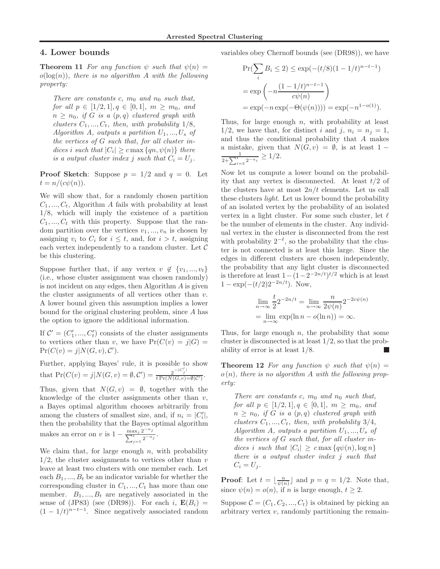## 4. Lower bounds

**Theorem 11** For any function  $\psi$  such that  $\psi(n) =$  $o(log(n))$ , there is no algorithm A with the following property:

There are constants c,  $m_0$  and  $n_0$  such that, for all  $p \in [1/2, 1], q \in [0, 1], m \geq m_0$ , and  $n \geq n_0$ , if G is a  $(p,q)$  clustered graph with clusters  $C_1, ..., C_t$ , then, with probability  $1/8$ , Algorithm A, outputs a partition  $U_1, ..., U_s$  of the vertices of G such that, for all cluster indices i such that  $|C_i| \geq c \max\{qn, \psi(n)\}\)$  there is a output cluster index j such that  $C_i = U_i$ .

**Proof Sketch:** Suppose  $p = 1/2$  and  $q = 0$ . Let  $t = n/(c\psi(n)).$ 

We will show that, for a randomly chosen partition  $C_1, ..., C_t$ , Algorithm A fails with probability at least 1/8, which will imply the existence of a partition  $C_1, ..., C_t$  with this property. Suppose that the random partition over the vertices  $v_1, ..., v_n$  is chosen by assigning  $v_i$  to  $C_i$  for  $i \leq t$ , and, for  $i > t$ , assigning each vertex independently to a random cluster. Let  $\mathcal C$ be this clustering.

Suppose further that, if any vertex  $v \notin \{v_1, ..., v_t\}$ (i.e., whose cluster assignment was chosen randomly) is not incident on any edges, then Algorithm A is given the cluster assignments of all vertices other than  $v$ . A lower bound given this assumption implies a lower bound for the original clustering problem, since A has the option to ignore the additional information.

If  $C' = (C'_1, ..., C'_t)$  consists of the cluster assignments to vertices other than v, we have  $Pr(C(v) = j|G)$  =  $Pr(C(v) = j | N(G, v), C').$ 

Further, applying Bayes' rule, it is possible to show that  $Pr(C(v) = j | N(G, v) = \emptyset, C') = \frac{2^{-|C'_j|}}{t Pr(N(G, v))}$  $\frac{2}{t \Pr(N(G,v)=\emptyset|\mathcal{C}')}$ 

Thus, given that  $N(G, v) = \emptyset$ , together with the knowledge of the cluster assignments other than  $v$ , a Bayes optimal algorithm chooses arbitrarily from among the clusters of smallest size, and, if  $n_i = |C'_i|$ , then the probability that the Bayes optimal algorithm makes an error on v is  $1 - \frac{\max_j 2^{-n_j}}{\sum_{j=0}^{t} a_j^{-n_j}}$  $\frac{\max_{j} 2^{-j}}{\sum_{j=1}^{t} 2^{-n_j}}.$ 

We claim that, for large enough  $n$ , with probability  $1/2$ , the cluster assignments to vertices other than v leave at least two clusters with one member each. Let each  $B_1, ..., B_t$  be an indicator variable for whether the corresponding cluster in  $C_1, ..., C_t$  has more than one member.  $B_1, ..., B_t$  are negatively associated in the sense of (JP83) (see (DR98)). For each i,  $\mathbf{E}(B_i)$  =  $(1 - 1/t)^{n-t-1}$ . Since negatively associated random variables obey Chernoff bounds (see (DR98)), we have

$$
\Pr(\sum_{i} B_{i} \le 2) \le \exp(-(t/8)(1 - 1/t)^{n-t-1})
$$

$$
= \exp\left(-n\frac{(1 - 1/t)^{n-t-1}}{c\psi(n)}\right)
$$

$$
= \exp(-n\exp(-\Theta(\psi(n)))) = \exp(-n^{1-o(1)}).
$$

Thus, for large enough  $n$ , with probability at least  $1/2$ , we have that, for distinct i and j,  $n_i = n_j = 1$ , and thus the conditional probability that A makes a mistake, given that  $N(G, v) = \emptyset$ , is at least 1 –  $\frac{1}{2+\sum_{i=3}^t 2^{-n_i}} \geq 1/2.$ 

Now let us compute a lower bound on the probability that any vertex is disconnected. At least  $t/2$  of the clusters have at most  $2n/t$  elements. Let us call these clusters light. Let us lower bound the probability of an isolated vertex by the probability of an isolated vertex in a light cluster. For some such cluster, let  $\ell$ be the number of elements in the cluster. Any individual vertex in the cluster is disconnected from the rest with probability  $2^{-\ell}$ , so the probability that the cluster is not connected is at least this large. Since the edges in different clusters are chosen independently, the probability that any light cluster is disconnected is therefore at least  $1 - (1 - 2^{-2n/t})^{t/2}$  which is at least  $1 - \exp(-(t/2)2^{-2n/t})$ . Now,

$$
\lim_{n \to \infty} \frac{t}{2} 2^{-2n/t} = \lim_{n \to \infty} \frac{n}{2\psi(n)} 2^{-2c\psi(n)}
$$

$$
= \lim_{n \to \infty} \exp(\ln n - o(\ln n)) = \infty.
$$

Thus, for large enough  $n$ , the probability that some cluster is disconnected is at least  $1/2$ , so that the probability of error is at least 1/8.

**Theorem 12** For any function  $\psi$  such that  $\psi(n)$  =  $o(n)$ , there is no algorithm A with the following property:

There are constants c,  $m_0$  and  $n_0$  such that, for all  $p \in [1/2, 1], q \in [0, 1], m \geq m_0$ , and  $n \geq n_0$ , if G is a  $(p, q)$  clustered graph with clusters  $C_1, ..., C_t$ , then, with probability 3/4, Algorithm A, outputs a partition  $U_1, ..., U_s$  of the vertices of G such that, for all cluster indices i such that  $|C_i| \geq c \max\{q\psi(n), \log n\}$ there is a output cluster index j such that  $C_i = U_j$ .

**Proof:** Let  $t = \lfloor \frac{n}{\psi(n)} \rfloor$  and  $p = q = 1/2$ . Note that, since  $\psi(n) = o(n)$ , if *n* is large enough,  $t \geq 2$ .

Suppose  $C = (C_1, C_2, ..., C_t)$  is obtained by picking an arbitrary vertex  $v$ , randomly partitioning the remain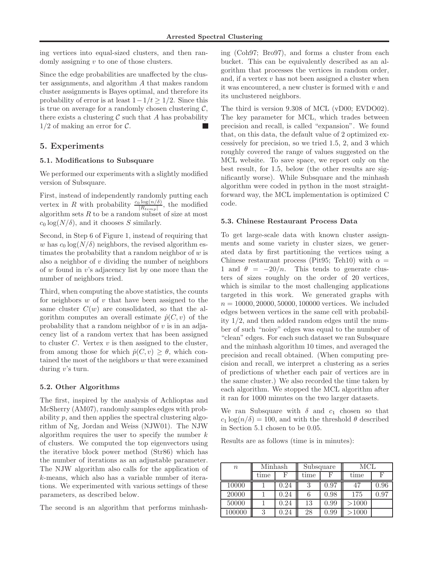ing vertices into equal-sized clusters, and then randomly assigning v to one of those clusters.

Since the edge probabilities are unaffected by the cluster assignments, and algorithm A that makes random cluster assignments is Bayes optimal, and therefore its probability of error is at least  $1-1/t \geq 1/2$ . Since this is true on average for a randomly chosen clustering  $\mathcal{C}$ , there exists a clustering  $\mathcal C$  such that A has probability  $1/2$  of making an error for  $\mathcal{C}$ .

# 5. Experiments

#### 5.1. Modifications to Subsquare

We performed our experiments with a slightly modified version of Subsquare.

First, instead of independently randomly putting each vertex in R with probability  $\frac{c_0 \log(n/\delta)}{|R_{temp}|}$ , the modified algorithm sets  $R$  to be a random subset of size at most  $c_0 \log(N/\delta)$ , and it chooses S similarly.

Second, in Step 6 of Figure 1, instead of requiring that w has  $c_0 \log(N/\delta)$  neighbors, the revised algorithm estimates the probability that a random neighbor of  $w$  is also a neighbor of  $v$  dividing the number of neighbors of w found in v's adjacency list by one more than the number of neighbors tried.

Third, when computing the above statistics, the counts for neighbors  $w$  of  $v$  that have been assigned to the same cluster  $C(w)$  are consolidated, so that the algorithm computes an overall estimate  $\hat{p}(C, v)$  of the probability that a random neighbor of  $v$  is in an adjacency list of a random vertex that has been assigned to cluster  $C$ . Vertex  $v$  is then assigned to the cluster, from among those for which  $\hat{p}(C, v) \geq \theta$ , which contained the most of the neighbors w that were examined during v's turn.

#### 5.2. Other Algorithms

The first, inspired by the analysis of Achlioptas and McSherry (AM07), randomly samples edges with probability p, and then applies the spectral clustering algorithm of Ng, Jordan and Weiss (NJW01). The NJW algorithm requires the user to specify the number  $k$ of clusters. We computed the top eigenvectors using the iterative block power method (Str86) which has the number of iterations as an adjustable parameter. The NJW algorithm also calls for the application of k-means, which also has a variable number of iterations. We experimented with various settings of these parameters, as described below.

The second is an algorithm that performs minhash-

ing (Coh97; Bro97), and forms a cluster from each bucket. This can be equivalently described as an algorithm that processes the vertices in random order, and, if a vertex  $v$  has not been assigned a cluster when it was encountered, a new cluster is formed with  $v$  and its unclustered neighbors.

The third is version 9.308 of MCL (vD00; EVDO02). The key parameter for MCL, which trades between precision and recall, is called "expansion". We found that, on this data, the default value of 2 optimized excessively for precision, so we tried 1.5, 2, and 3 which roughly covered the range of values suggested on the MCL website. To save space, we report only on the best result, for 1.5, below (the other results are significantly worse). While Subsquare and the minhash algorithm were coded in python in the most straightforward way, the MCL implementation is optimized C code.

### 5.3. Chinese Restaurant Process Data

To get large-scale data with known cluster assignments and some variety in cluster sizes, we generated data by first partitioning the vertices using a Chinese restaurant process (Pit95; Teh10) with  $\alpha =$ 1 and  $\theta = -20/n$ . This tends to generate clusters of sizes roughly on the order of 20 vertices, which is similar to the most challenging applications targeted in this work. We generated graphs with  $n = 10000, 20000, 50000, 100000$  vertices. We included edges between vertices in the same cell with probability 1/2, and then added random edges until the number of such "noisy" edges was equal to the number of "clean" edges. For each such dataset we ran Subsquare and the minhash algorithm 10 times, and averaged the precision and recall obtained. (When computing precision and recall, we interpret a clustering as a series of predictions of whether each pair of vertices are in the same cluster.) We also recorded the time taken by each algorithm. We stopped the MCL algorithm after it ran for 1000 minutes on the two larger datasets.

We ran Subsquare with  $\delta$  and  $c_1$  chosen so that  $c_1 \log(n/\delta) = 100$ , and with the threshold  $\theta$  described in Section 5.1 chosen to be 0.05.

Results are as follows (time is in minutes):

| $\boldsymbol{n}$ | Minhash |      | Subsquare |      | MCL   |      |
|------------------|---------|------|-----------|------|-------|------|
|                  | time    |      | time      |      | time  | F    |
| 10000            |         | 0.24 | 2         | 0.97 | 47    | 0.96 |
| 20000            |         | 0.24 |           | 0.98 | 175   | 0.97 |
| 50000            |         | 0.24 | 13        | 0.99 | >1000 |      |
| 100000           | ച       | 0.24 | 28        | 0.99 | >1000 |      |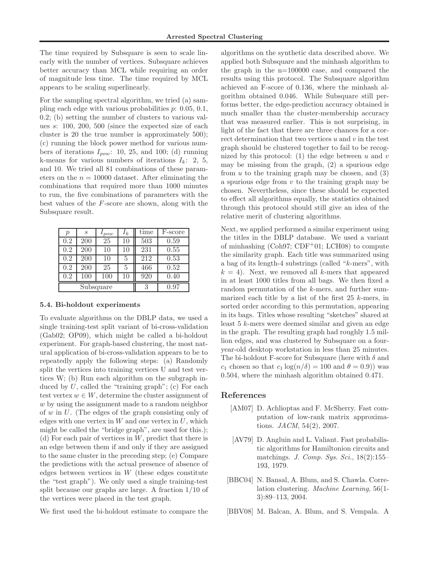The time required by Subsquare is seen to scale linearly with the number of vertices. Subsquare achieves better accuracy than MCL while requiring an order of magnitude less time. The time required by MCL appears to be scaling superlinearly.

For the sampling spectral algorithm, we tried (a) sampling each edge with various probabilities  $p: 0.05, 0.1$ , 0.2; (b) setting the number of clusters to various values s: 100, 200, 500 (since the expected size of each cluster is 20 the true number is approximately 500); (c) running the block power method for various numbers of iterations  $I_{pow}$ : 10, 25, and 100; (d) running k-means for various numbers of iterations  $I_k$ : 2, 5, and 10. We tried all 81 combinations of these parameters on the  $n = 10000$  dataset. After eliminating the combinations that required more than 1000 minutes to run, the five combinations of parameters with the best values of the F-score are shown, along with the Subsquare result.

| р         | S   | pow | $I_k$ | time | F-score |
|-----------|-----|-----|-------|------|---------|
| 0.2       | 200 | 25  | 10    | 503  | 0.59    |
| 0.2       | 200 | 10  | 10    | 231  | 0.55    |
| 0.2       | 200 | 10  | 5     | 212  | 0.53    |
| 0.2       | 200 | 25  | 5     | 466  | 0.52    |
| 0.2       | 100 | 100 | 10    | 920  | 0.40    |
| Subsquare |     |     |       | 3    | 0.97    |

#### 5.4. Bi-holdout experiments

To evaluate algorithms on the DBLP data, we used a single training-test split variant of bi-cross-validation (Gab02; OP09), which might be called a bi-holdout experiment. For graph-based clustering, the most natural application of bi-cross-validation appears to be to repeatedly apply the following steps: (a) Randomly split the vertices into training vertices U and test vertices W; (b) Run each algorithm on the subgraph induced by  $U$ , called the "training graph"; (c) For each test vertex  $w \in W$ , determine the cluster assignment of w by using the assignment made to a random neighbor of w in U. (The edges of the graph consisting only of edges with one vertex in  $W$  and one vertex in  $U$ , which might be called the "bridge graph", are used for this.); (d) For each pair of vertices in  $W$ , predict that there is an edge between them if and only if they are assigned to the same cluster in the preceding step; (e) Compare the predictions with the actual presence of absence of edges between vertices in  $W$  (these edges constitute the "test graph"). We only used a single training-test split because our graphs are large. A fraction 1/10 of the vertices were placed in the test graph.

We first used the bi-holdout estimate to compare the

algorithms on the synthetic data described above. We applied both Subsquare and the minhash algorithm to the graph in the n=100000 case, and compared the results using this protocol. The Subsquare algorithm achieved an F-score of 0.136, where the minhash algorithm obtained 0.046. While Subsquare still performs better, the edge-prediction accuracy obtained is much smaller than the cluster-membership accuracy that was measured earlier. This is not surprising, in light of the fact that there are three chances for a correct determination that two vertices  $u$  and  $v$  in the test graph should be clustered together to fail to be recognized by this protocol: (1) the edge between  $u$  and  $v$ may be missing from the graph, (2) a spurious edge from  $u$  to the training graph may be chosen, and  $(3)$ a spurious edge from  $v$  to the training graph may be chosen. Nevertheless, since these should be expected to effect all algorithms equally, the statistics obtained through this protocol should still give an idea of the relative merit of clustering algorithms.

Next, we applied performed a similar experiment using the titles in the DBLP database. We used a variant of minhashing  $(Coh97;$  CDF<sup>+</sup>01; LCH08) to compute the similarity graph. Each title was summarized using a bag of its length-4 substrings (called "k-mers", with  $k = 4$ ). Next, we removed all k-mers that appeared in at least 1000 titles from all bags. We then fixed a random permutation of the k-mers, and further summarized each title by a list of the first  $25$  k-mers, in sorted order according to this permutation, appearing in its bags. Titles whose resulting "sketches" shared at least 5 k-mers were deemed similar and given an edge in the graph. The resulting graph had roughly 1.5 million edges, and was clustered by Subsquare on a fouryear-old desktop workstation in less than 25 minutes. The bi-holdout F-score for Subsquare (here with  $\delta$  and c<sub>1</sub> chosen so that c<sub>1</sub> log( $n/\delta$ ) = 100 and  $\theta$  = 0.9)) was 0.504, where the minhash algorithm obtained 0.471.

## References

- [AM07] D. Achlioptas and F. McSherry. Fast computation of low-rank matrix approximations. JACM, 54(2), 2007.
- [AV79] D. Angluin and L. Valiant. Fast probabilistic algorithms for Hamiltonion circuits and matchings. J. Comp. Sys. Sci., 18(2):155– 193, 1979.
- [BBC04] N. Bansal, A. Blum, and S. Chawla. Correlation clustering. Machine Learning, 56(1- 3):89–113, 2004.
- [BBV08] M. Balcan, A. Blum, and S. Vempala. A